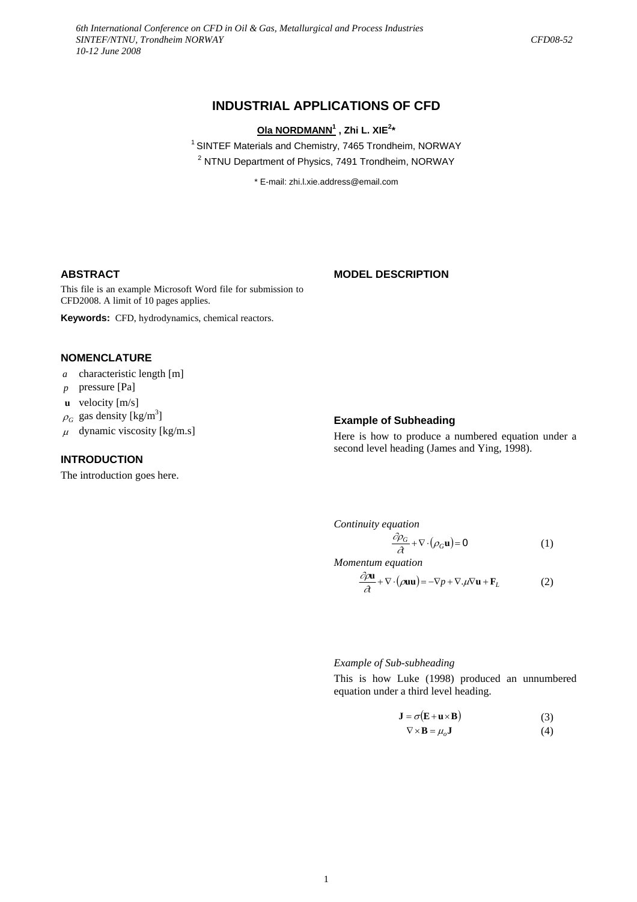# **INDUSTRIAL APPLICATIONS OF CFD**

## **Ola NORDMANN1 , Zhi L. XIE2 \***

<sup>1</sup> SINTEF Materials and Chemistry, 7465 Trondheim, NORWAY <sup>2</sup> NTNU Department of Physics, 7491 Trondheim, NORWAY

\* E-mail: zhi.l.xie.address@email.com

#### **ABSTRACT**

#### **MODEL DESCRIPTION**

This file is an example Microsoft Word file for submission to CFD2008. A limit of 10 pages applies.

**Keywords:** CFD, hydrodynamics, chemical reactors.

# **NOMENCLATURE**

- *a* characteristic length [m]
- *p* pressure [Pa]
- **u** velocity  $[m/s]$
- $\rho_G$  gas density [kg/m<sup>3</sup>]
- $\mu$  dynamic viscosity [kg/m.s]

#### **INTRODUCTION**

The introduction goes here.

## **Example of Subheading**

Here is how to produce a numbered equation under a second level heading (James and Ying, 1998).

*Continuity equation* 

$$
\frac{\partial \rho_G}{\partial t} + \nabla \cdot (\rho_G \mathbf{u}) = 0 \tag{1}
$$

*Momentum equation* 

$$
\frac{\partial \rho \mathbf{u}}{\partial t} + \nabla \cdot (\rho \mathbf{u} \mathbf{u}) = -\nabla p + \nabla \cdot \mu \nabla \mathbf{u} + \mathbf{F}_L
$$
 (2)

*Example of Sub-subheading* 

This is how Luke (1998) produced an unnumbered equation under a third level heading.

$$
\mathbf{J} = \sigma(\mathbf{E} + \mathbf{u} \times \mathbf{B}) \tag{3}
$$

$$
\nabla \times \mathbf{B} = \mu_o \mathbf{J} \tag{4}
$$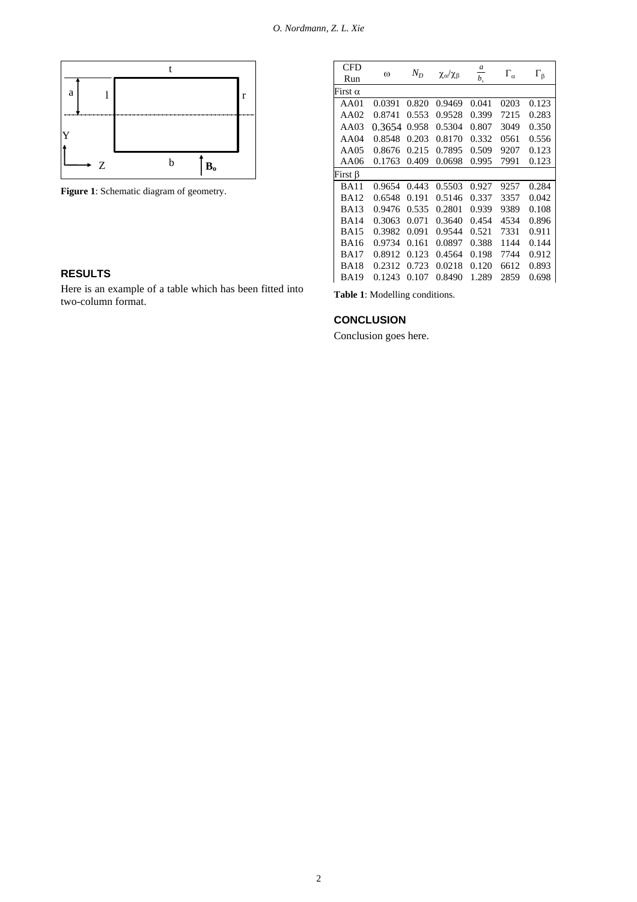

Figure 1: Schematic diagram of geometry.

# **RESULTS**

Here is an example of a table which has been fitted into two-column format.

| CFD<br>Run  | $\omega$ | $N_D$ | $\chi_{\alpha}/\chi_{\beta}$ | a<br>$b_{\cdot}$ | $\Gamma_{\alpha}$ | $\Gamma_{\beta}$ |
|-------------|----------|-------|------------------------------|------------------|-------------------|------------------|
| First α     |          |       |                              |                  |                   |                  |
| AA01        | 0.0391   | 0.820 | 0.9469                       | 0.041            | 0203              | 0.123            |
| AA02        | 0.8741   | 0.553 | 0.9528                       | 0.399            | 7215              | 0.283            |
| AA03        | 0.3654   | 0.958 | 0.5304                       | 0.807            | 3049              | 0.350            |
| AA04        | 0.8548   | 0.203 | 0.8170                       | 0.332            | 0561              | 0.556            |
| AA05        | 0.8676   | 0.215 | 0.7895                       | 0.509            | 9207              | 0.123            |
| AA06        | 0.1763   | 0.409 | 0.0698                       | 0.995            | 7991              | 0.123            |
| First β     |          |       |                              |                  |                   |                  |
| <b>BA11</b> | 0.9654   | 0.443 | 0.5503                       | 0.927            | 9257              | 0.284            |
| <b>BA12</b> | 0.6548   | 0.191 | 0.5146                       | 0.337            | 3357              | 0.042            |
| <b>BA13</b> | 0.9476   | 0.535 | 0.2801                       | 0.939            | 9389              | 0.108            |
| <b>BA14</b> | 0.3063   | 0.071 | 0.3640                       | 0.454            | 4534              | 0.896            |
| <b>BA15</b> | 0.3982   | 0.091 | 0.9544                       | 0.521            | 7331              | 0.911            |
| <b>BA16</b> | 0.9734   | 0.161 | 0.0897                       | 0.388            | 1144              | 0.144            |
| <b>BA17</b> | 0.8912   | 0.123 | 0.4564                       | 0.198            | 7744              | 0.912            |
| <b>BA18</b> | 0.2312   | 0.723 | 0.0218                       | 0.120            | 6612              | 0.893            |
| <b>BA19</b> | 0.1243   | 0.107 | 0.8490                       | 1.289            | 2859              | 0.698            |

**Table 1**: Modelling conditions.

## **CONCLUSION**

Conclusion goes here.